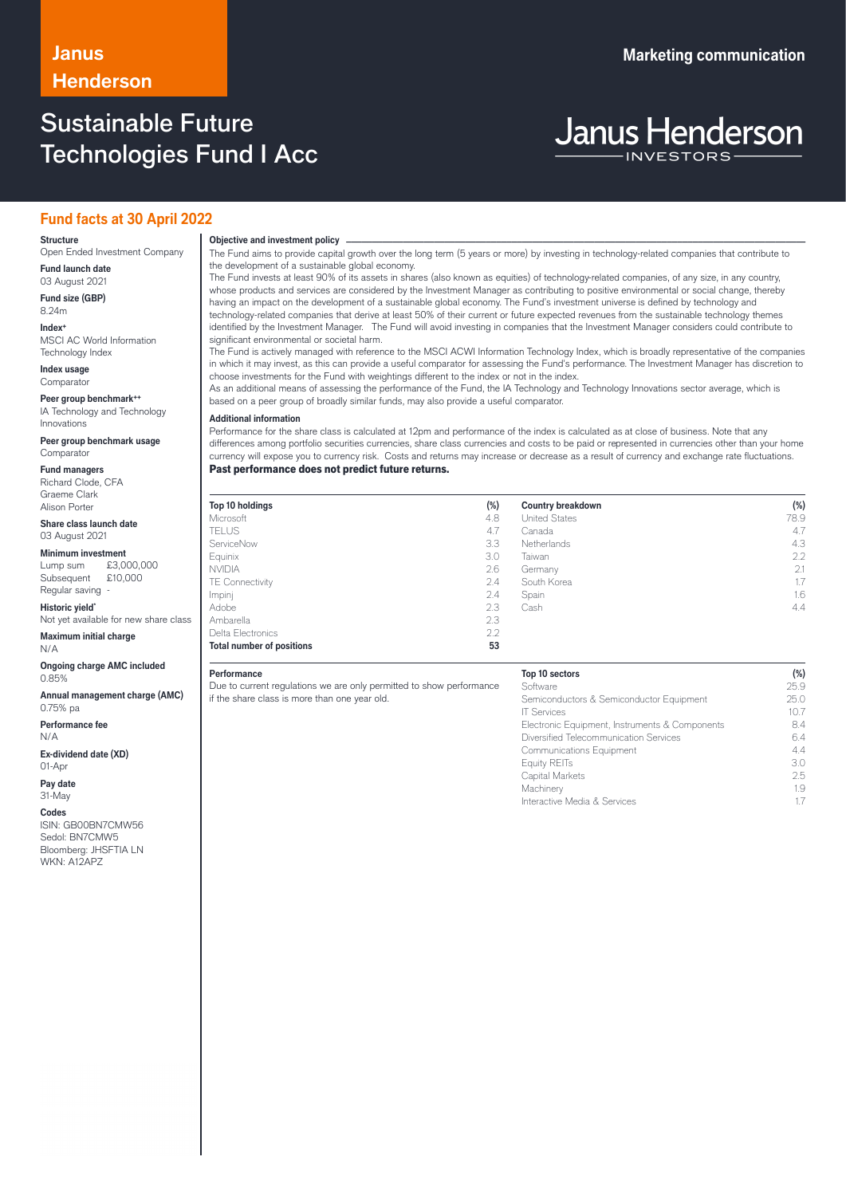## Sustainable Future Technologies Fund I Acc

# **Janus Henderson**

## **Fund facts at 30 April 2022**

### **Structure**

Open Ended Investment Company **Fund launch date**

03 August 2021 **Fund size (GBP)**

8.24m **Index+** MSCI AC World Information

Technology Index **Index usage**

**Comparator** 

**Peer group benchmark++** IA Technology and Technology Innovations

**Peer group benchmark usage** Comparator

**Fund managers** Richard Clode, CFA Graeme Clark Alison Porter

**Share class launch date** 03 August 2021

**Minimum investment**<br>Lump sum £3,0  $£3,000,000$ <br> $£10,000$ Subsequent

Regular saving **Historic yield\***

Not yet available for new share class **Maximum initial charge**

N/A **Ongoing charge AMC included**

0.85%

**Annual management charge (AMC)** 0.75% pa

**Performance fee** N/A

**Ex-dividend date (XD)** 01-Apr

**Pay date** 31-May

**Codes**

ISIN: GB00BN7CMW56 Sedol: BN7CMW5 Bloomberg: JHSFTIA LN WKN: A12APZ

## **Objective and investment policy** ────────────────────────────────────────────────────────────────────────────────────────────────────────────────────────────────────────────────────────────────────────────────────────────────────────────────────────────────────────────────────────────────────────────────────────────────────────────────────────────────────────────────────────────────────────────────────────────────────────────────────────────────────────────────────────────────────────────────────────────────────────────────────

The Fund aims to provide capital growth over the long term (5 years or more) by investing in technology-related companies that contribute to the development of a sustainable global economy.

The Fund invests at least 90% of its assets in shares (also known as equities) of technology-related companies, of any size, in any country, whose products and services are considered by the Investment Manager as contributing to positive environmental or social change, thereby having an impact on the development of a sustainable global economy. The Fund's investment universe is defined by technology and technology-related companies that derive at least 50% of their current or future expected revenues from the sustainable technology themes identified by the Investment Manager. The Fund will avoid investing in companies that the Investment Manager considers could contribute to significant environmental or societal harm.

The Fund is actively managed with reference to the MSCI ACWI Information Technology Index, which is broadly representative of the companies in which it may invest, as this can provide a useful comparator for assessing the Fund's performance. The Investment Manager has discretion to choose investments for the Fund with weightings different to the index or not in the index.

As an additional means of assessing the performance of the Fund, the IA Technology and Technology Innovations sector average, which is based on a peer group of broadly similar funds, may also provide a useful comparator.

### **Additional information**

Performance for the share class is calculated at 12pm and performance of the index is calculated as at close of business. Note that any differences among portfolio securities currencies, share class currencies and costs to be paid or represented in currencies other than your home currency will expose you to currency risk. Costs and returns may increase or decrease as a result of currency and exchange rate fluctuations.

Past performance does not predict future returns.

| Top 10 holdings                  | $(\%)$ | <b>Country breakdown</b> | $(\%)$        |
|----------------------------------|--------|--------------------------|---------------|
| Microsoft                        | 4.8    | <b>United States</b>     | 78.9          |
| <b>TELUS</b>                     | 4.7    | Canada                   | 4.7           |
| ServiceNow                       | 3.3    | Netherlands              | 4.3           |
| Equinix                          | 3.0    | Taiwan                   | $2.2^{\circ}$ |
| <b>NVIDIA</b>                    | 2.6    | Germany                  | 2.1           |
| TE Connectivity                  | 2.4    | South Korea              | $1.7^{\circ}$ |
| Impinj                           | 2.4    | Spain                    | 1.6           |
| Adobe                            | 2.3    | Cash                     | 4.4           |
| Ambarella                        | 2.3    |                          |               |
| Delta Electronics                | 2.2    |                          |               |
| <b>Total number of positions</b> | 53     |                          |               |

### **Performance**

Due to current regulations we are only permitted to show performance if the share class is more than one year old.

## **Top 10 sectors (%)**

| .9913301.015                                   | $\cdots$ |
|------------------------------------------------|----------|
| Software                                       | 25.9     |
| Semiconductors & Semiconductor Equipment       | 25.0     |
| <b>IT Services</b>                             | 10.7     |
| Electronic Equipment, Instruments & Components | 8.4      |
| Diversified Telecommunication Services         | 64       |
| <b>Communications Equipment</b>                | 4.4      |
| Equity REITs                                   | 3.C      |
| Capital Markets                                | 25       |
| Machinery                                      | 1.9      |
| Interactive Media & Services                   | 17       |
|                                                |          |